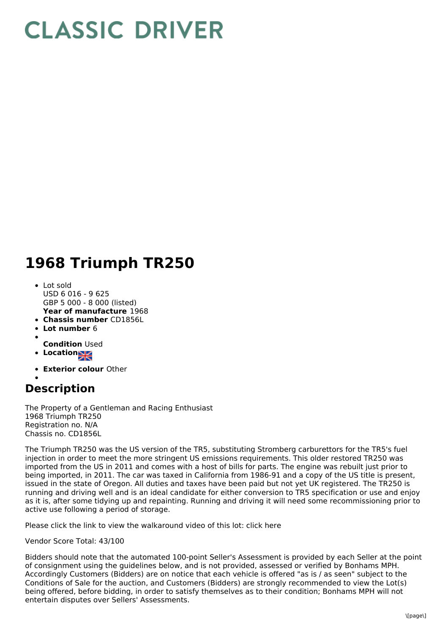## **CLASSIC DRIVER**

## **1968 Triumph TR250**

- **Year of manufacture** 1968 Lot sold USD 6 016 - 9 625 GBP 5 000 - 8 000 (listed)
- **Chassis number** CD1856L
- **Lot number** 6
- **Condition** Used
- **Location**
- 
- **Exterior colour** Other

## **Description**

The Property of a Gentleman and Racing Enthusiast 1968 Triumph TR250 Registration no. N/A Chassis no. CD1856L

The Triumph TR250 was the US version of the TR5, substituting Stromberg carburettors for the TR5's fuel injection in order to meet the more stringent US emissions requirements. This older restored TR250 was imported from the US in 2011 and comes with a host of bills for parts. The engine was rebuilt just prior to being imported, in 2011. The car was taxed in California from 1986-91 and a copy of the US title is present, issued in the state of Oregon. All duties and taxes have been paid but not yet UK registered. The TR250 is running and driving well and is an ideal candidate for either conversion to TR5 specification or use and enjoy as it is, after some tidying up and repainting. Running and driving it will need some recommissioning prior to active use following a period of storage.

Please click the link to view the walkaround video of this lot: click here

Vendor Score Total: 43/100

Bidders should note that the automated 100-point Seller's Assessment is provided by each Seller at the point of consignment using the guidelines below, and is not provided, assessed or verified by Bonhams MPH. Accordingly Customers (Bidders) are on notice that each vehicle is offered "as is / as seen" subject to the Conditions of Sale for the auction, and Customers (Bidders) are strongly recommended to view the Lot(s) being offered, before bidding, in order to satisfy themselves as to their condition; Bonhams MPH will not entertain disputes over Sellers' Assessments.